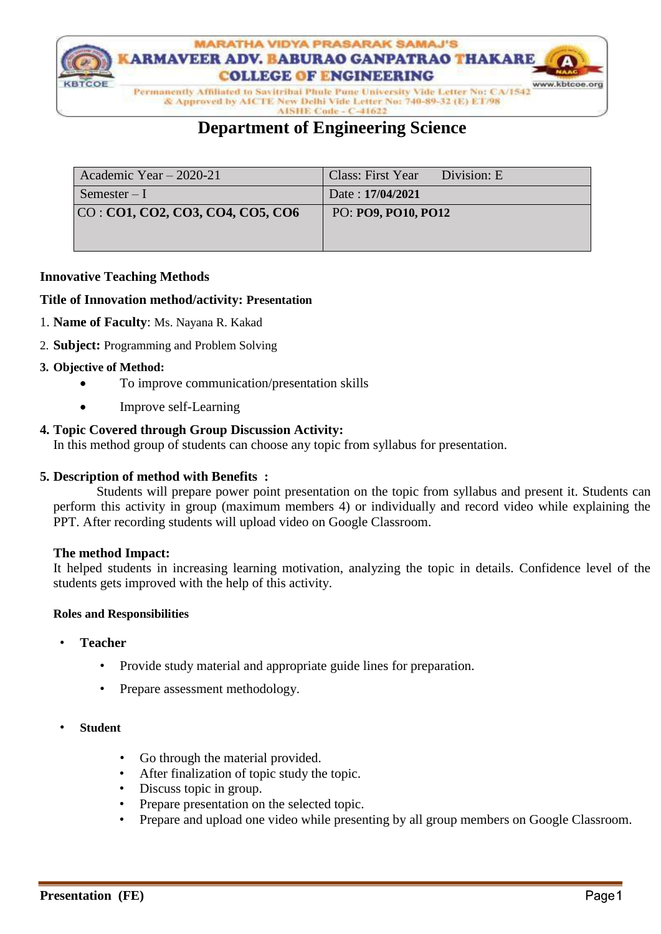

& Approved by AICTE New Delhi Vide Letter No: 740-89-32 (E) ET/98

#### AISHE Code - C-41622

# **Department of Engineering Science**

| Academic Year $-2020-21$         | Class: First Year Division: E |
|----------------------------------|-------------------------------|
| Semester $-I$                    | Date: 17/04/2021              |
| CO: CO1, CO2, CO3, CO4, CO5, CO6 | PO: PO9, PO10, PO12           |
|                                  |                               |
|                                  |                               |

### **Innovative Teaching Methods**

#### **Title of Innovation method/activity: Presentation**

- 1. **Name of Faculty**: Ms. Nayana R. Kakad
- 2. **Subject:** Programming and Problem Solving

### **3. Objective of Method:**

- To improve communication/presentation skills
- Improve self-Learning

## **4. Topic Covered through Group Discussion Activity:**

In this method group of students can choose any topic from syllabus for presentation.

#### **5. Description of method with Benefits :**

 Students will prepare power point presentation on the topic from syllabus and present it. Students can perform this activity in group (maximum members 4) or individually and record video while explaining the PPT. After recording students will upload video on Google Classroom.

#### **The method Impact:**

It helped students in increasing learning motivation, analyzing the topic in details. Confidence level of the students gets improved with the help of this activity.

#### **Roles and Responsibilities**

- **Teacher**
	- Provide study material and appropriate guide lines for preparation.
	- Prepare assessment methodology.
- **Student**
	- Go through the material provided.
	- After finalization of topic study the topic.
	- Discuss topic in group.
	- Prepare presentation on the selected topic.
	- Prepare and upload one video while presenting by all group members on Google Classroom.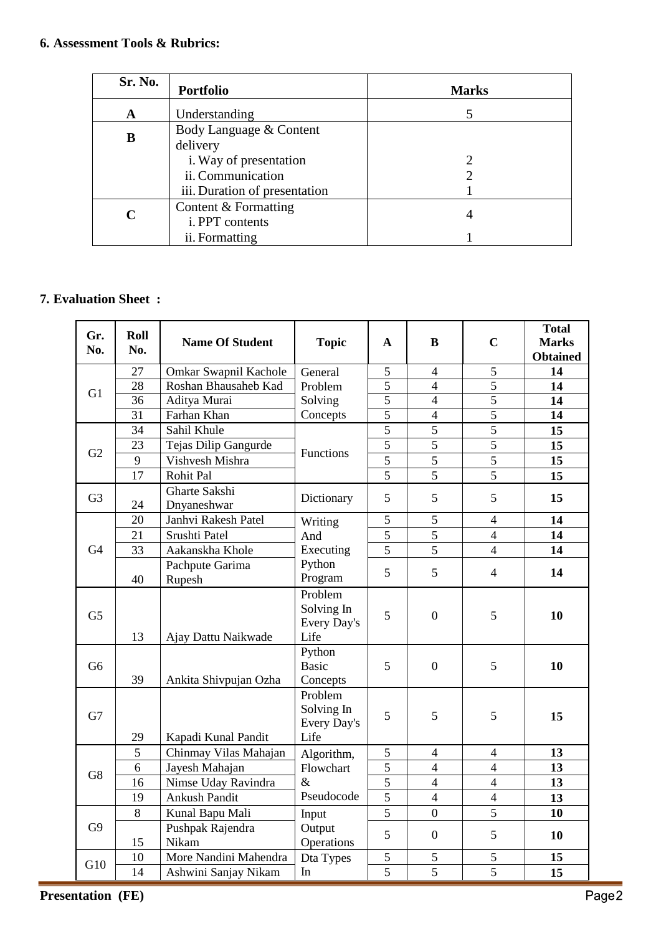| Sr. No. | <b>Portfolio</b>              | <b>Marks</b> |
|---------|-------------------------------|--------------|
| A       | Understanding                 |              |
| B       | Body Language & Content       |              |
|         | delivery                      |              |
|         | i. Way of presentation        |              |
|         | ii. Communication             |              |
|         | iii. Duration of presentation |              |
| C       | Content & Formatting          |              |
|         | i. PPT contents               | 4            |
|         | ii. Formatting                |              |

# **7. Evaluation Sheet :**

| Gr.            | Roll            | <b>Name Of Student</b>       | <b>Topic</b>                                 | A              | B                | $\mathbf C$    | <b>Total</b><br><b>Marks</b> |
|----------------|-----------------|------------------------------|----------------------------------------------|----------------|------------------|----------------|------------------------------|
| No.            | No.             |                              |                                              |                |                  |                | <b>Obtained</b>              |
|                | 27              | Omkar Swapnil Kachole        | General                                      | $\overline{5}$ | $\overline{4}$   | $\overline{5}$ | 14                           |
| G1             | $\overline{28}$ | Roshan Bhausaheb Kad         | Problem                                      | 5              | $\overline{4}$   | 5              | 14                           |
|                | $\overline{36}$ | Aditya Murai                 | Solving                                      | 5              | $\overline{4}$   | 5              | 14                           |
|                | $\overline{31}$ | Farhan Khan                  | Concepts                                     | $\overline{5}$ | $\overline{4}$   | $\overline{5}$ | 14                           |
|                | 34              | Sahil Khule                  |                                              | $\overline{5}$ | 5                | $\overline{5}$ | 15                           |
| G2             | 23              | Tejas Dilip Gangurde         | Functions                                    | $\overline{5}$ | $\overline{5}$   | $\overline{5}$ | 15                           |
|                | 9               | Vishvesh Mishra              |                                              | $\overline{5}$ | $\overline{5}$   | $\overline{5}$ | 15                           |
|                | 17              | Rohit Pal                    |                                              | 5              | 5                | $\overline{5}$ | 15                           |
| G <sub>3</sub> | 24              | Gharte Sakshi<br>Dnyaneshwar | Dictionary                                   | 5              | 5                | 5              | 15                           |
|                | 20              | Janhvi Rakesh Patel          | Writing                                      | 5              | $\mathfrak{S}$   | $\overline{4}$ | 14                           |
|                | 21              | Srushti Patel                | And                                          | 5              | 5                | $\overline{4}$ | 14                           |
| G <sub>4</sub> | 33              | Aakanskha Khole              | Executing                                    | 5              | 5                | $\overline{4}$ | 14                           |
|                | 40              | Pachpute Garima<br>Rupesh    | Python<br>Program                            | 5              | 5                | $\overline{4}$ | 14                           |
| G <sub>5</sub> | 13              | Ajay Dattu Naikwade          | Problem<br>Solving In<br>Every Day's<br>Life | 5              | $\boldsymbol{0}$ | 5              | 10                           |
| G <sub>6</sub> | 39              | Ankita Shivpujan Ozha        | Python<br><b>Basic</b><br>Concepts           | 5              | $\mathbf{0}$     | 5              | 10                           |
| G7             | 29              | Kapadi Kunal Pandit          | Problem<br>Solving In<br>Every Day's<br>Life | 5              | 5                | 5              | 15                           |
|                | $\overline{5}$  | Chinmay Vilas Mahajan        | Algorithm,                                   | 5              | $\overline{4}$   | $\overline{4}$ | 13                           |
|                | 6               | Jayesh Mahajan               | 5<br>Flowchart<br>5<br>$\&$                  |                | $\overline{4}$   | $\overline{4}$ | 13                           |
| G8             | 16              | Nimse Uday Ravindra          |                                              |                | $\overline{4}$   | $\overline{4}$ | 13                           |
|                | 19              | <b>Ankush Pandit</b>         | Pseudocode                                   | 5              | $\overline{4}$   | $\overline{4}$ | 13                           |
|                | 8               | Kunal Bapu Mali              | Input                                        | $\overline{5}$ | $\overline{0}$   | 5              | 10                           |
| G <sub>9</sub> | 15              | Pushpak Rajendra<br>Nikam    | Output<br>Operations                         | 5              | $\boldsymbol{0}$ | 5              | 10                           |
| G10            | 10              | More Nandini Mahendra        | Dta Types                                    | $\mathfrak{S}$ | $\mathfrak s$    | 5              | 15                           |
|                | 14              | Ashwini Sanjay Nikam         | In                                           | $\overline{5}$ | 5                | 5              | 15                           |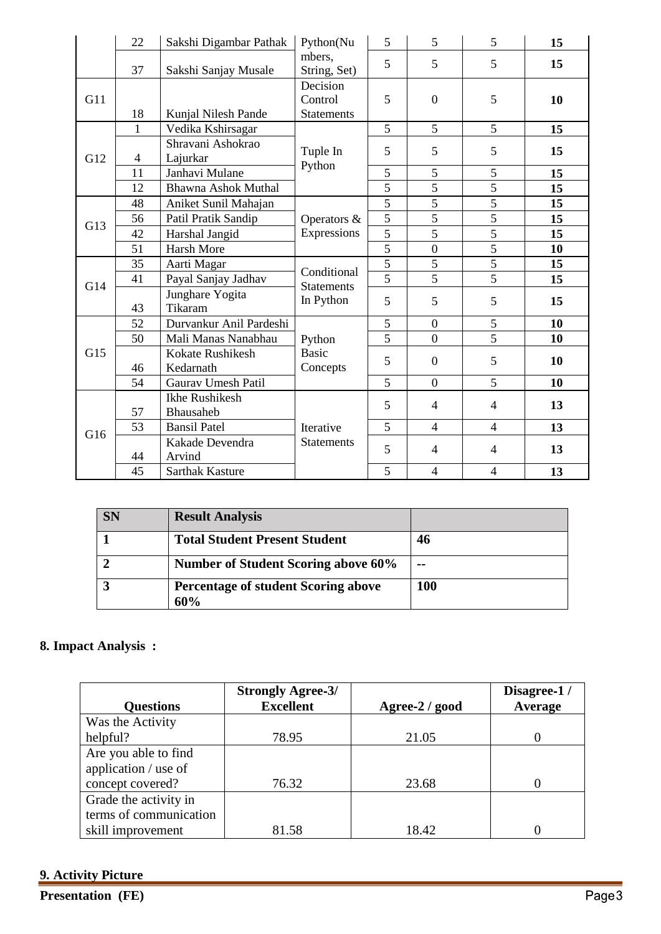|     | 22             | Sakshi Digambar Pathak               | Python(Nu                                     | 5                   | 5                        | 5              | 15 |
|-----|----------------|--------------------------------------|-----------------------------------------------|---------------------|--------------------------|----------------|----|
|     | 37             | Sakshi Sanjay Musale                 | mbers,<br>String, Set)                        | 5                   | 5                        | 5              | 15 |
| G11 | 18             | Kunjal Nilesh Pande                  | Decision<br>Control<br><b>Statements</b>      | 5                   | $\boldsymbol{0}$         | 5              | 10 |
| G12 | $\mathbf{1}$   | Vedika Kshirsagar                    | Tuple In<br>Python                            | 5                   | 5                        | 5              | 15 |
|     | $\overline{4}$ | Shravani Ashokrao<br>Lajurkar        |                                               | 5                   | 5                        | 5              | 15 |
|     | 11             | Janhavi Mulane                       |                                               | 5                   | 5                        | 5              | 15 |
|     | 12             | <b>Bhawna Ashok Muthal</b>           |                                               | 5                   | 5                        | 5              | 15 |
| G13 | 48             | Aniket Sunil Mahajan                 | Operators &<br>Expressions                    | 5                   | $\overline{5}$           | $\overline{5}$ | 15 |
|     | 56             | Patil Pratik Sandip                  |                                               | 5                   | 5                        | 5              | 15 |
|     | 42             | Harshal Jangid                       |                                               | 5                   | 5                        | 5              | 15 |
|     | 51             | <b>Harsh More</b>                    |                                               | $\overline{5}$      | $\boldsymbol{0}$         | $\overline{5}$ | 10 |
|     | 35             | Aarti Magar                          | Conditional<br><b>Statements</b><br>In Python | 5                   | 5                        | 5              | 15 |
| G14 | 41             | Payal Sanjay Jadhav                  |                                               | $\overline{5}$      | $\overline{5}$           | $\overline{5}$ | 15 |
|     | 43             | Junghare Yogita<br>Tikaram           |                                               | 5                   | 5                        | 5              | 15 |
|     | 52             | Durvankur Anil Pardeshi              |                                               | 5<br>$\overline{0}$ |                          | 5              | 10 |
|     | 50             | Mali Manas Nanabhau                  | Python<br><b>Basic</b><br>Concepts            | $\overline{5}$      | $\overline{0}$           | $\overline{5}$ | 10 |
| G15 | 46             | <b>Kokate Rushikesh</b><br>Kedarnath |                                               | 5                   | $\overline{0}$           | 5              | 10 |
|     | 54             | <b>Gaurav Umesh Patil</b>            |                                               | 5                   | $\overline{0}$           | 5              | 10 |
| G16 | 57             | <b>Ikhe Rushikesh</b><br>Bhausaheb   | Iterative                                     | 5                   | $\overline{4}$           | $\overline{4}$ | 13 |
|     | 53             | <b>Bansil Patel</b>                  |                                               | 5                   | $\overline{\mathcal{L}}$ | $\overline{4}$ | 13 |
|     | 44             | Kakade Devendra<br>Arvind            | <b>Statements</b>                             | 5                   | $\overline{4}$           | $\overline{4}$ | 13 |
|     | 45             | <b>Sarthak Kasture</b>               |                                               | 5                   | $\overline{4}$           | $\overline{4}$ | 13 |

| <b>SN</b> | <b>Result Analysis</b>                            |            |
|-----------|---------------------------------------------------|------------|
|           | <b>Total Student Present Student</b>              | 46         |
|           | <b>Number of Student Scoring above 60%</b>        | $- -$      |
|           | <b>Percentage of student Scoring above</b><br>60% | <b>100</b> |

# **8. Impact Analysis :**

| <b>Questions</b>       | <b>Strongly Agree-3/</b><br><b>Excellent</b> | Agree-2 / good | Disagree-1/<br>Average |
|------------------------|----------------------------------------------|----------------|------------------------|
| Was the Activity       |                                              |                |                        |
| helpful?               | 78.95                                        | 21.05          |                        |
| Are you able to find   |                                              |                |                        |
| application / use of   |                                              |                |                        |
| concept covered?       | 76.32                                        | 23.68          | 0                      |
| Grade the activity in  |                                              |                |                        |
| terms of communication |                                              |                |                        |
| skill improvement      | 81.58                                        | 18.42          |                        |

**9. Activity Picture**